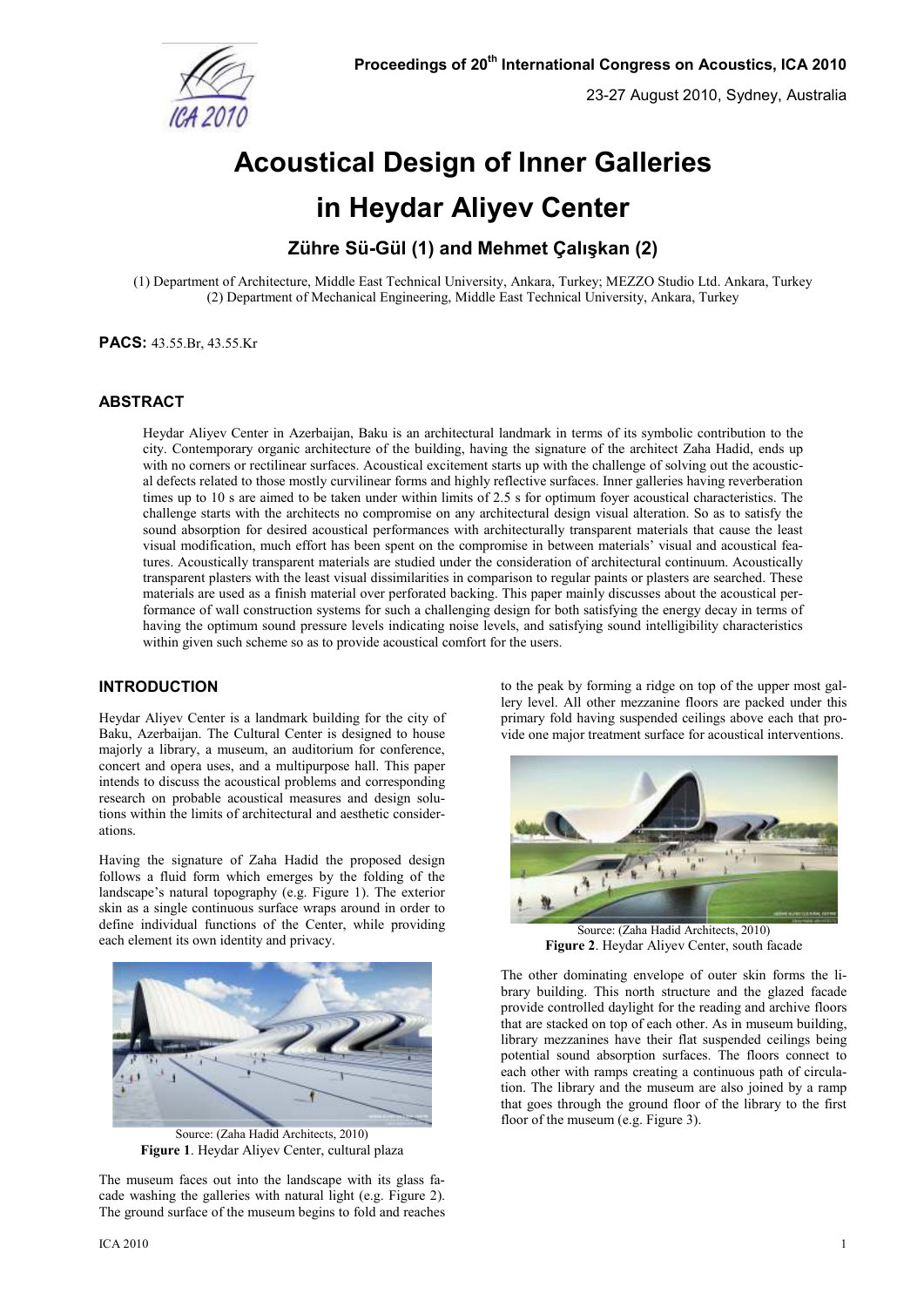

23-27 August 2010, Sydney, Australia

# **Acoustical Design of Inner Galleries in Heydar Aliyev Center**

# **Zühre Sü-Gül (1) and Mehmet Çalışkan (2)**

(1) Department of Architecture, Middle East Technical University, Ankara, Turkey; MEZZO Studio Ltd. Ankara, Turkey (2) Department of Mechanical Engineering, Middle East Technical University, Ankara, Turkey

**PACS:** 43.55.Br, 43.55.Kr

# **ABSTRACT**

Heydar Aliyev Center in Azerbaijan, Baku is an architectural landmark in terms of its symbolic contribution to the city. Contemporary organic architecture of the building, having the signature of the architect Zaha Hadid, ends up with no corners or rectilinear surfaces. Acoustical excitement starts up with the challenge of solving out the acoustical defects related to those mostly curvilinear forms and highly reflective surfaces. Inner galleries having reverberation times up to 10 s are aimed to be taken under within limits of 2.5 s for optimum foyer acoustical characteristics. The challenge starts with the architects no compromise on any architectural design visual alteration. So as to satisfy the sound absorption for desired acoustical performances with architecturally transparent materials that cause the least visual modification, much effort has been spent on the compromise in between materials' visual and acoustical features. Acoustically transparent materials are studied under the consideration of architectural continuum. Acoustically transparent plasters with the least visual dissimilarities in comparison to regular paints or plasters are searched. These materials are used as a finish material over perforated backing. This paper mainly discusses about the acoustical performance of wall construction systems for such a challenging design for both satisfying the energy decay in terms of having the optimum sound pressure levels indicating noise levels, and satisfying sound intelligibility characteristics within given such scheme so as to provide acoustical comfort for the users.

# **INTRODUCTION**

Heydar Aliyev Center is a landmark building for the city of Baku, Azerbaijan. The Cultural Center is designed to house majorly a library, a museum, an auditorium for conference, concert and opera uses, and a multipurpose hall. This paper intends to discuss the acoustical problems and corresponding research on probable acoustical measures and design solutions within the limits of architectural and aesthetic considerations.

Having the signature of Zaha Hadid the proposed design follows a fluid form which emerges by the folding of the landscape's natural topography (e.g. Figure 1). The exterior skin as a single continuous surface wraps around in order to define individual functions of the Center, while providing each element its own identity and privacy.



Source: (Zaha Hadid Architects, 2010) **Figure 1**. Heydar Aliyev Center, cultural plaza

The museum faces out into the landscape with its glass facade washing the galleries with natural light (e.g. Figure 2). The ground surface of the museum begins to fold and reaches to the peak by forming a ridge on top of the upper most gallery level. All other mezzanine floors are packed under this primary fold having suspended ceilings above each that provide one major treatment surface for acoustical interventions.



Source: (Zaha Hadid Architects, 2010) **Figure 2**. Heydar Aliyev Center, south facade

The other dominating envelope of outer skin forms the library building. This north structure and the glazed facade provide controlled daylight for the reading and archive floors that are stacked on top of each other. As in museum building, library mezzanines have their flat suspended ceilings being potential sound absorption surfaces. The floors connect to each other with ramps creating a continuous path of circulation. The library and the museum are also joined by a ramp that goes through the ground floor of the library to the first floor of the museum (e.g. Figure 3).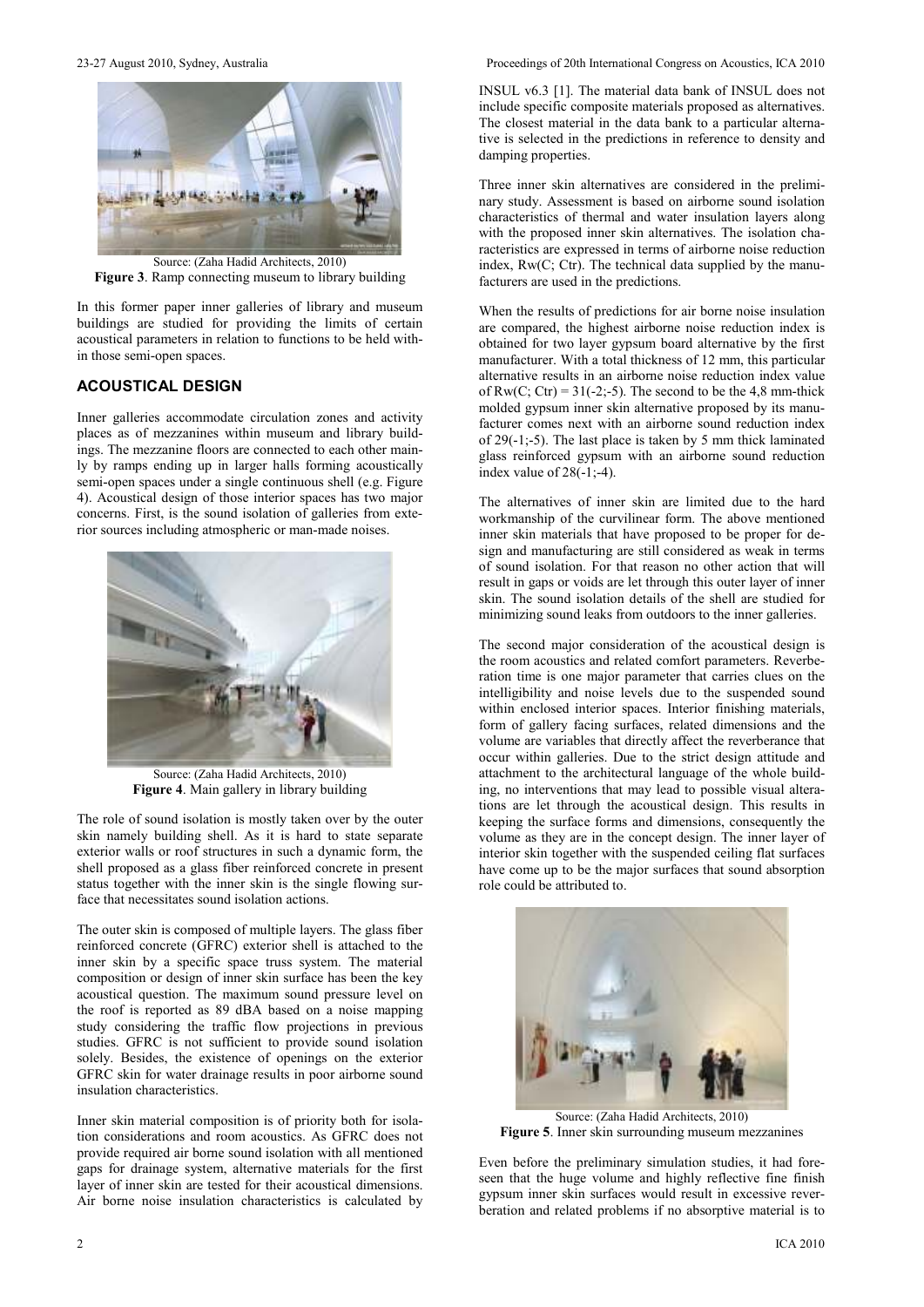

**Figure 3**. Ramp connecting museum to library building

In this former paper inner galleries of library and museum buildings are studied for providing the limits of certain acoustical parameters in relation to functions to be held within those semi-open spaces.

# **ACOUSTICAL DESIGN**

Inner galleries accommodate circulation zones and activity places as of mezzanines within museum and library buildings. The mezzanine floors are connected to each other mainly by ramps ending up in larger halls forming acoustically semi-open spaces under a single continuous shell (e.g. Figure 4). Acoustical design of those interior spaces has two major concerns. First, is the sound isolation of galleries from exterior sources including atmospheric or man-made noises.



Source: (Zaha Hadid Architects, 2010) **Figure 4**. Main gallery in library building

The role of sound isolation is mostly taken over by the outer skin namely building shell. As it is hard to state separate exterior walls or roof structures in such a dynamic form, the shell proposed as a glass fiber reinforced concrete in present status together with the inner skin is the single flowing surface that necessitates sound isolation actions.

The outer skin is composed of multiple layers. The glass fiber reinforced concrete (GFRC) exterior shell is attached to the inner skin by a specific space truss system. The material composition or design of inner skin surface has been the key acoustical question. The maximum sound pressure level on the roof is reported as 89 dBA based on a noise mapping study considering the traffic flow projections in previous studies. GFRC is not sufficient to provide sound isolation solely. Besides, the existence of openings on the exterior GFRC skin for water drainage results in poor airborne sound insulation characteristics.

Inner skin material composition is of priority both for isolation considerations and room acoustics. As GFRC does not provide required air borne sound isolation with all mentioned gaps for drainage system, alternative materials for the first layer of inner skin are tested for their acoustical dimensions. Air borne noise insulation characteristics is calculated by

23-27 August 2010, Sydney, Australia Proceedings of 20th International Congress on Acoustics, ICA 2010

INSUL v6.3 [1]. The material data bank of INSUL does not include specific composite materials proposed as alternatives. The closest material in the data bank to a particular alternative is selected in the predictions in reference to density and damping properties.

Three inner skin alternatives are considered in the preliminary study. Assessment is based on airborne sound isolation characteristics of thermal and water insulation layers along with the proposed inner skin alternatives. The isolation characteristics are expressed in terms of airborne noise reduction index,  $Rw(C; Ctr)$ . The technical data supplied by the manufacturers are used in the predictions.

When the results of predictions for air borne noise insulation are compared, the highest airborne noise reduction index is obtained for two layer gypsum board alternative by the first manufacturer. With a total thickness of 12 mm, this particular alternative results in an airborne noise reduction index value of  $Rw(C; Ctr) = 31(-2; -5)$ . The second to be the 4,8 mm-thick molded gypsum inner skin alternative proposed by its manufacturer comes next with an airborne sound reduction index of 29(-1;-5). The last place is taken by 5 mm thick laminated glass reinforced gypsum with an airborne sound reduction index value of  $28(-1,-4)$ .

The alternatives of inner skin are limited due to the hard workmanship of the curvilinear form. The above mentioned inner skin materials that have proposed to be proper for design and manufacturing are still considered as weak in terms of sound isolation. For that reason no other action that will result in gaps or voids are let through this outer layer of inner skin. The sound isolation details of the shell are studied for minimizing sound leaks from outdoors to the inner galleries.

The second major consideration of the acoustical design is the room acoustics and related comfort parameters. Reverberation time is one major parameter that carries clues on the intelligibility and noise levels due to the suspended sound within enclosed interior spaces. Interior finishing materials, form of gallery facing surfaces, related dimensions and the volume are variables that directly affect the reverberance that occur within galleries. Due to the strict design attitude and attachment to the architectural language of the whole building, no interventions that may lead to possible visual alterations are let through the acoustical design. This results in keeping the surface forms and dimensions, consequently the volume as they are in the concept design. The inner layer of interior skin together with the suspended ceiling flat surfaces have come up to be the major surfaces that sound absorption role could be attributed to.



Source: (Zaha Hadid Architects, 2010) **Figure 5**. Inner skin surrounding museum mezzanines

Even before the preliminary simulation studies, it had foreseen that the huge volume and highly reflective fine finish gypsum inner skin surfaces would result in excessive reverberation and related problems if no absorptive material is to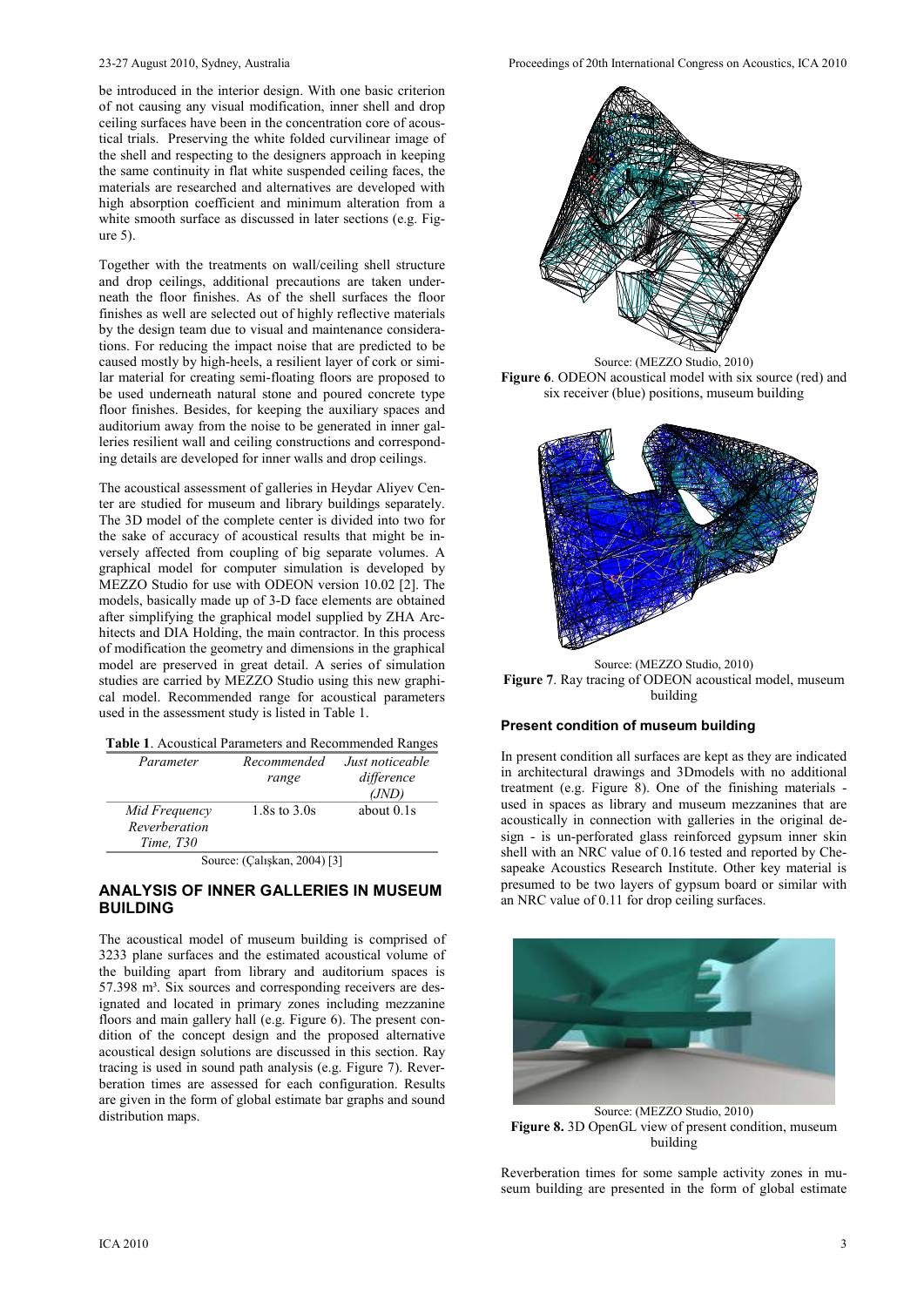be introduced in the interior design. With one basic criterion of not causing any visual modification, inner shell and drop ceiling surfaces have been in the concentration core of acoustical trials. Preserving the white folded curvilinear image of the shell and respecting to the designers approach in keeping the same continuity in flat white suspended ceiling faces, the materials are researched and alternatives are developed with high absorption coefficient and minimum alteration from a white smooth surface as discussed in later sections (e.g. Figure 5).

Together with the treatments on wall/ceiling shell structure and drop ceilings, additional precautions are taken underneath the floor finishes. As of the shell surfaces the floor finishes as well are selected out of highly reflective materials by the design team due to visual and maintenance considerations. For reducing the impact noise that are predicted to be caused mostly by high-heels, a resilient layer of cork or similar material for creating semi-floating floors are proposed to be used underneath natural stone and poured concrete type floor finishes. Besides, for keeping the auxiliary spaces and auditorium away from the noise to be generated in inner galleries resilient wall and ceiling constructions and corresponding details are developed for inner walls and drop ceilings.

The acoustical assessment of galleries in Heydar Aliyev Center are studied for museum and library buildings separately. The 3D model of the complete center is divided into two for the sake of accuracy of acoustical results that might be inversely affected from coupling of big separate volumes. A graphical model for computer simulation is developed by MEZZO Studio for use with ODEON version 10.02 [2]. The models, basically made up of 3-D face elements are obtained after simplifying the graphical model supplied by ZHA Architects and DIA Holding, the main contractor. In this process of modification the geometry and dimensions in the graphical model are preserved in great detail. A series of simulation studies are carried by MEZZO Studio using this new graphical model. Recommended range for acoustical parameters used in the assessment study is listed in Table 1.

| Table 1. Acoustical Parameters and Recommended Ranges |  |
|-------------------------------------------------------|--|
|-------------------------------------------------------|--|

| Parameter        | Recommended              | Just noticeable |
|------------------|--------------------------|-----------------|
|                  | range                    | difference      |
|                  |                          | (JND)           |
| Mid Frequency    | 1.8s to 3.0s             | about $0.1s$    |
| Reverberation    |                          |                 |
| <i>Time, T30</i> |                          |                 |
| $\sim$           | $\sim$<br>$0.001$ $0.00$ |                 |

Source: (Çalışkan, 2004) [3]

#### **ANALYSIS OF INNER GALLERIES IN MUSEUM BUILDING**

The acoustical model of museum building is comprised of 3233 plane surfaces and the estimated acoustical volume of the building apart from library and auditorium spaces is 57.398 m<sup>3</sup>. Six sources and corresponding receivers are designated and located in primary zones including mezzanine floors and main gallery hall (e.g. Figure 6). The present condition of the concept design and the proposed alternative acoustical design solutions are discussed in this section. Ray tracing is used in sound path analysis (e.g. Figure 7). Reverberation times are assessed for each configuration. Results are given in the form of global estimate bar graphs and sound distribution maps.



Source: (MEZZO Studio, 2010) **Figure 6**. ODEON acoustical model with six source (red) and six receiver (blue) positions, museum building



Source: (MEZZO Studio, 2010) **Figure 7**. Ray tracing of ODEON acoustical model, museum building

# **Present condition of museum building**

In present condition all surfaces are kept as they are indicated in architectural drawings and 3Dmodels with no additional treatment (e.g. Figure 8). One of the finishing materials used in spaces as library and museum mezzanines that are acoustically in connection with galleries in the original design - is un-perforated glass reinforced gypsum inner skin shell with an NRC value of 0.16 tested and reported by Chesapeake Acoustics Research Institute. Other key material is presumed to be two layers of gypsum board or similar with an NRC value of 0.11 for drop ceiling surfaces.



Source: (MEZZO Studio, 2010) **Figure 8.** 3D OpenGL view of present condition, museum building

Reverberation times for some sample activity zones in museum building are presented in the form of global estimate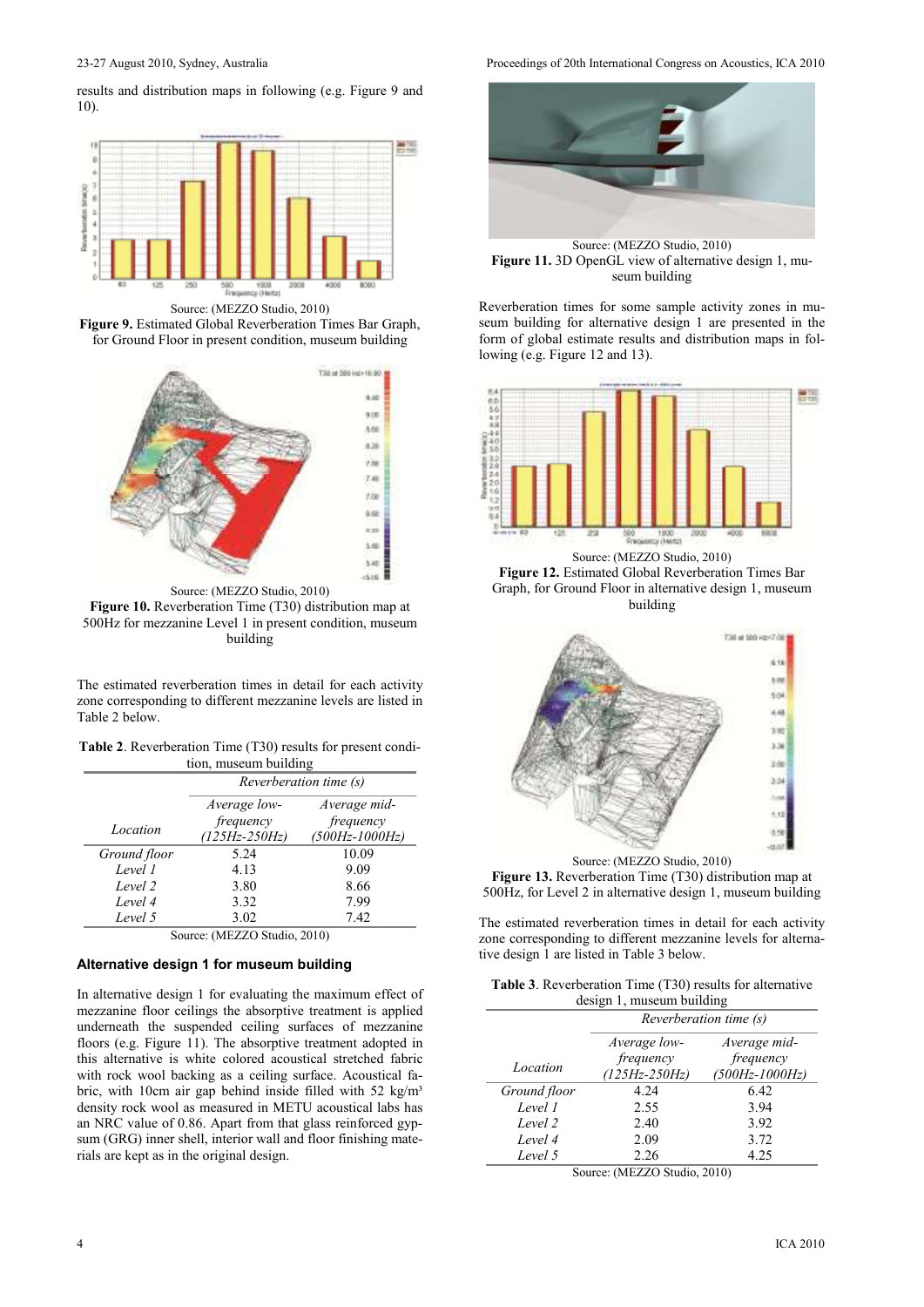results and distribution maps in following (e.g. Figure 9 and 10).



Source: (MEZZO Studio, 2010)

**Figure 9.** Estimated Global Reverberation Times Bar Graph, for Ground Floor in present condition, museum building



**Figure 10.** Reverberation Time (T30) distribution map at 500Hz for mezzanine Level 1 in present condition, museum building

The estimated reverberation times in detail for each activity zone corresponding to different mezzanine levels are listed in Table 2 below.

| <b>Table 2.</b> Reverberation Time (T30) results for present condi- |
|---------------------------------------------------------------------|
| tion, museum building                                               |

|              | Reverberation time (s)         |                                 |  |
|--------------|--------------------------------|---------------------------------|--|
|              | Average low-                   | Average mid-                    |  |
| Location     | frequency<br>$(125Hz - 250Hz)$ | frequency<br>$(500Hz - 1000Hz)$ |  |
| Ground floor | 5.24                           | 10.09                           |  |
| Level 1      | 4.13                           | 9.09                            |  |
| Level 2      | 3.80                           | 8.66                            |  |
| Level 4      | 3.32                           | 7.99                            |  |
| Level 5      | 3.02<br>$\cdot$ $\cdot$        | 7.42                            |  |

Source: (MEZZO Studio, 2010)

# **Alternative design 1 for museum building**

In alternative design 1 for evaluating the maximum effect of mezzanine floor ceilings the absorptive treatment is applied underneath the suspended ceiling surfaces of mezzanine floors (e.g. Figure 11). The absorptive treatment adopted in this alternative is white colored acoustical stretched fabric with rock wool backing as a ceiling surface. Acoustical fabric, with 10cm air gap behind inside filled with 52 kg/m<sup>3</sup> density rock wool as measured in METU acoustical labs has an NRC value of 0.86. Apart from that glass reinforced gypsum (GRG) inner shell, interior wall and floor finishing materials are kept as in the original design.

23-27 August 2010, Sydney, Australia Proceedings of 20th International Congress on Acoustics, ICA 2010



Source: (MEZZO Studio, 2010) Figure 11. 3D OpenGL view of alternative design 1, museum building

Reverberation times for some sample activity zones in museum building for alternative design 1 are presented in the form of global estimate results and distribution maps in following (e.g. Figure 12 and 13).







Source: (MEZZO Studio, 2010) **Figure 13.** Reverberation Time (T30) distribution map at 500Hz, for Level 2 in alternative design 1, museum building

The estimated reverberation times in detail for each activity zone corresponding to different mezzanine levels for alternative design 1 are listed in Table 3 below.

| <b>Table 3.</b> Reverberation Time (T30) results for alternative |
|------------------------------------------------------------------|
| design 1, museum building                                        |

| $\frac{1}{2}$ |               |                        |  |
|---------------|---------------|------------------------|--|
|               |               | Reverberation time (s) |  |
|               | Average low-  | Average mid-           |  |
|               | frequency     | frequency              |  |
| Location      | (125Hz-250Hz) | $(500Hz - 1000Hz)$     |  |
| Ground floor  | 4.24          | 6.42                   |  |
| Level 1       | 2.55          | 3.94                   |  |
| Level 2       | 2.40          | 3.92                   |  |
| Level 4       | 2.09          | 3.72                   |  |
| Level 5       | 2.26          | 4.25                   |  |

Source: (MEZZO Studio, 2010)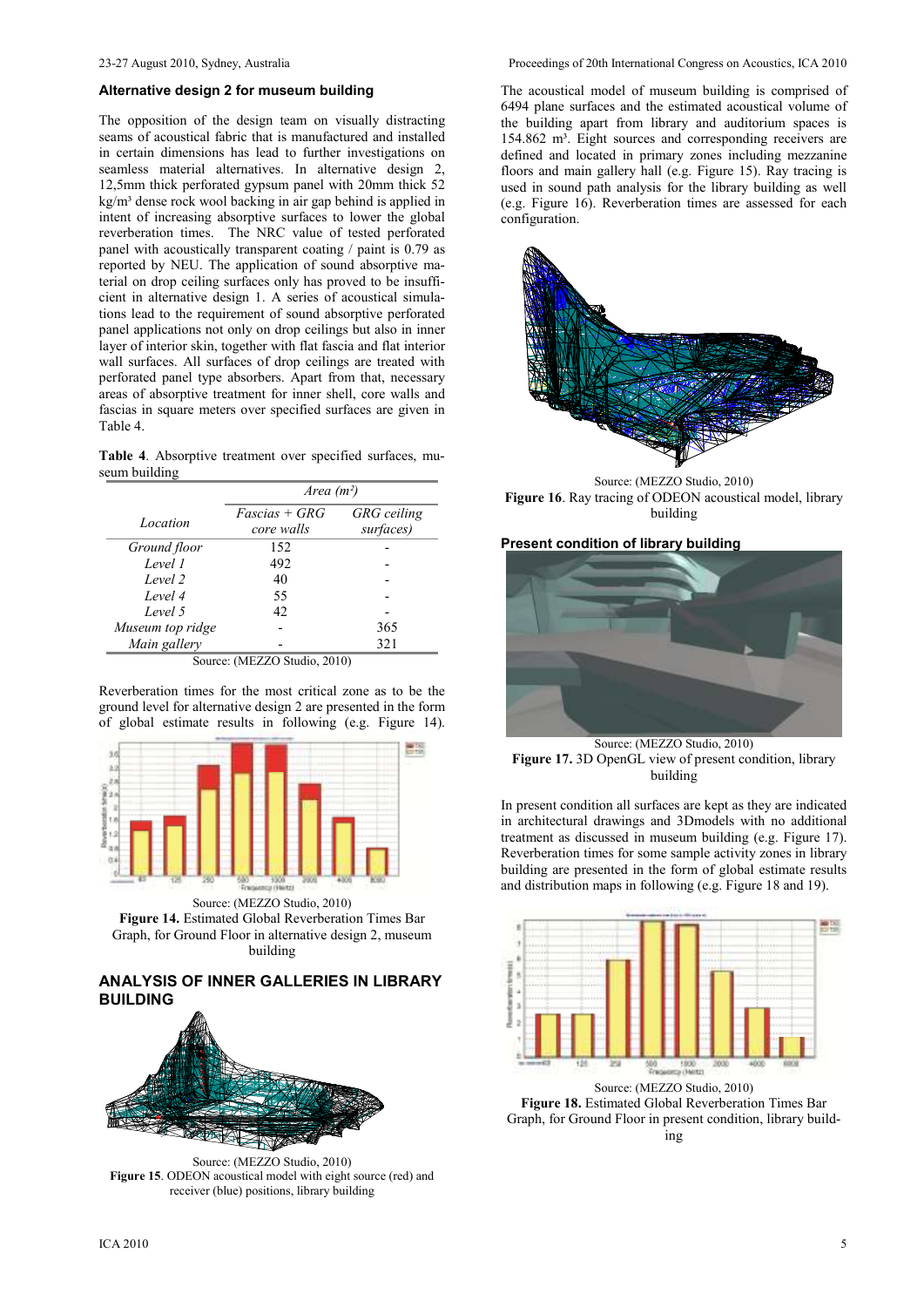#### **Alternative design 2 for museum building**

The opposition of the design team on visually distracting seams of acoustical fabric that is manufactured and installed in certain dimensions has lead to further investigations on seamless material alternatives. In alternative design 2, 12,5mm thick perforated gypsum panel with 20mm thick 52 kg/m³ dense rock wool backing in air gap behind is applied in intent of increasing absorptive surfaces to lower the global reverberation times. The NRC value of tested perforated panel with acoustically transparent coating / paint is 0.79 as reported by NEU. The application of sound absorptive material on drop ceiling surfaces only has proved to be insufficient in alternative design 1. A series of acoustical simulations lead to the requirement of sound absorptive perforated panel applications not only on drop ceilings but also in inner layer of interior skin, together with flat fascia and flat interior wall surfaces. All surfaces of drop ceilings are treated with perforated panel type absorbers. Apart from that, necessary areas of absorptive treatment for inner shell, core walls and fascias in square meters over specified surfaces are given in Table 4.

**Table 4**. Absorptive treatment over specified surfaces, museum building

|                  | Area $(m^2)$                  |                                 |  |
|------------------|-------------------------------|---------------------------------|--|
| Location         | $Fascias + GRG$<br>core walls | <b>GRG</b> ceiling<br>surfaces) |  |
| Ground floor     | 152                           |                                 |  |
| Level 1          | 492                           |                                 |  |
| Level 2          | 40                            |                                 |  |
| Level 4          | 55                            |                                 |  |
| Level 5          | 42                            |                                 |  |
| Museum top ridge |                               | 365                             |  |
| Main gallery     |                               | 321                             |  |

Reverberation times for the most critical zone as to be the ground level for alternative design 2 are presented in the form of global estimate results in following (e.g. Figure 14).



Source: (MEZZO Studio, 2010) **Figure 14.** Estimated Global Reverberation Times Bar Graph, for Ground Floor in alternative design 2, museum building

# **ANALYSIS OF INNER GALLERIES IN LIBRARY BUILDING**



Source: (MEZZO Studio, 2010) **Figure 15**. ODEON acoustical model with eight source (red) and receiver (blue) positions, library building

The acoustical model of museum building is comprised of 6494 plane surfaces and the estimated acoustical volume of the building apart from library and auditorium spaces is 154.862 m<sup>3</sup>. Eight sources and corresponding receivers are defined and located in primary zones including mezzanine floors and main gallery hall (e.g. Figure 15). Ray tracing is used in sound path analysis for the library building as well (e.g. Figure 16). Reverberation times are assessed for each configuration.



Source: (MEZZO Studio, 2010) **Figure 16**. Ray tracing of ODEON acoustical model, library building

#### **Present condition of library building**



Source: (MEZZO Studio, 2010) **Figure 17.** 3D OpenGL view of present condition, library building

In present condition all surfaces are kept as they are indicated in architectural drawings and 3Dmodels with no additional treatment as discussed in museum building (e.g. Figure 17). Reverberation times for some sample activity zones in library building are presented in the form of global estimate results and distribution maps in following (e.g. Figure 18 and 19).



**Figure 18.** Estimated Global Reverberation Times Bar Graph, for Ground Floor in present condition, library building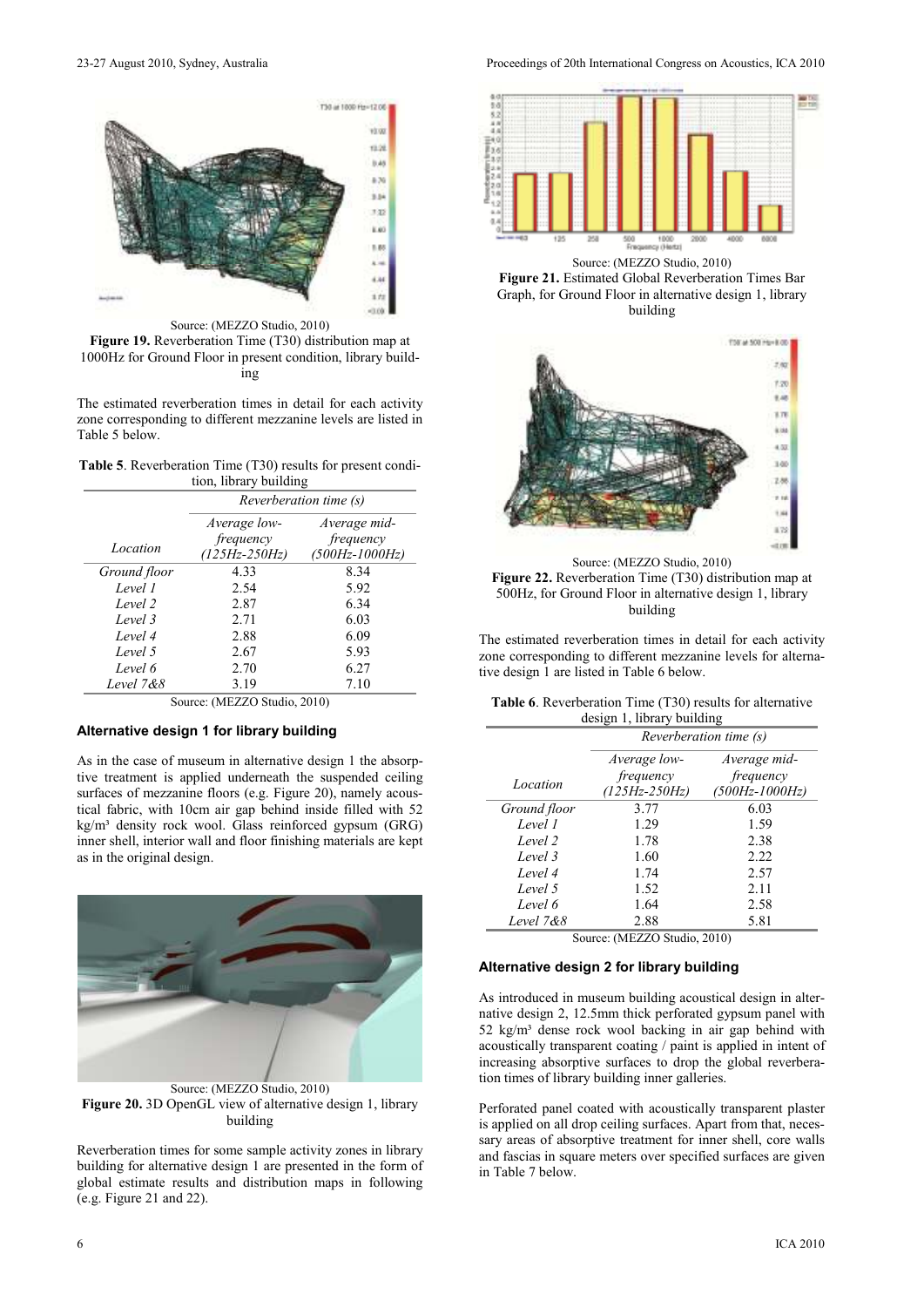

Source: (MEZZO Studio, 2010)

**Figure 19.** Reverberation Time (T30) distribution map at 1000Hz for Ground Floor in present condition, library building

The estimated reverberation times in detail for each activity zone corresponding to different mezzanine levels are listed in Table 5 below.

| <b>Table 5.</b> Reverberation Time (T30) results for present condi- |                        |  |  |
|---------------------------------------------------------------------|------------------------|--|--|
|                                                                     | tion, library building |  |  |

|              | Reverberation time (s) |                |  |
|--------------|------------------------|----------------|--|
|              | Average low-           | Average mid-   |  |
|              | frequency              | frequency      |  |
| Location     | $(125Hz - 250Hz)$      | (500Hz-1000Hz) |  |
| Ground floor | 4 3 3                  | 8.34           |  |
| Level 1      | 2.54                   | 5.92           |  |
| Level 2      | 2.87                   | 6.34           |  |
| Level 3      | 2.71                   | 6.03           |  |
| Level 4      | 2.88                   | 6.09           |  |
| Level 5      | 2.67                   | 5.93           |  |
| Level 6      | 2.70                   | 6.27           |  |
| Level 7&8    | 3.19                   | 7.10           |  |

Source: (MEZZO Studio, 2010)

### **Alternative design 1 for library building**

As in the case of museum in alternative design 1 the absorptive treatment is applied underneath the suspended ceiling surfaces of mezzanine floors (e.g. Figure 20), namely acoustical fabric, with 10cm air gap behind inside filled with 52 kg/m<sup>3</sup> density rock wool. Glass reinforced gypsum (GRG) inner shell, interior wall and floor finishing materials are kept as in the original design.



Source: (MEZZO Studio, 2010) **Figure 20.** 3D OpenGL view of alternative design 1, library building

Reverberation times for some sample activity zones in library building for alternative design 1 are presented in the form of global estimate results and distribution maps in following (e.g. Figure 21 and 22).

23-27 August 2010, Sydney, Australia Proceedings of 20th International Congress on Acoustics, ICA 2010







Source: (MEZZO Studio, 2010) **Figure 22.** Reverberation Time (T30) distribution map at 500Hz, for Ground Floor in alternative design 1, library building

The estimated reverberation times in detail for each activity zone corresponding to different mezzanine levels for alternative design 1 are listed in Table 6 below.

| <b>Table 6.</b> Reverberation Time (T30) results for alternative |  |  |  |
|------------------------------------------------------------------|--|--|--|
| design 1, library building                                       |  |  |  |

|              | Reverberation time (s) |                    |  |
|--------------|------------------------|--------------------|--|
|              | Average low-           | Average mid-       |  |
|              | frequency              | frequency          |  |
| Location     | $(125Hz - 250Hz)$      | $(500Hz - 1000Hz)$ |  |
| Ground floor | 3.77                   | 6.03               |  |
| Level 1      | 1.29                   | 1.59               |  |
| Level 2      | 1.78                   | 2.38               |  |
| Level 3      | 1.60                   | 2.22               |  |
| Level 4      | 1.74                   | 2.57               |  |
| Level 5      | 1.52                   | 2.11               |  |
| Level 6      | 1.64                   | 2.58               |  |
| Level 7&8    | 2.88                   | 5.81               |  |

Source: (MEZZO Studio, 2010)

#### **Alternative design 2 for library building**

As introduced in museum building acoustical design in alternative design 2, 12.5mm thick perforated gypsum panel with 52 kg/m<sup>3</sup> dense rock wool backing in air gap behind with acoustically transparent coating / paint is applied in intent of increasing absorptive surfaces to drop the global reverberation times of library building inner galleries.

Perforated panel coated with acoustically transparent plaster is applied on all drop ceiling surfaces. Apart from that, necessary areas of absorptive treatment for inner shell, core walls and fascias in square meters over specified surfaces are given in Table 7 below.